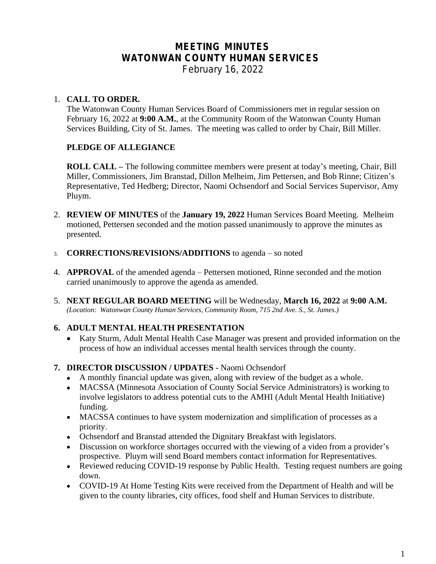# **MEETING MINUTES WATONWAN COUNTY HUMAN SERVICES**

*February 16, 2022*

#### 1. **CALL TO ORDER.**

The Watonwan County Human Services Board of Commissioners met in regular session on February 16, 2022 at **9:00 A.M.**, at the Community Room of the Watonwan County Human Services Building, City of St. James. The meeting was called to order by Chair, Bill Miller.

#### **PLEDGE OF ALLEGIANCE**

**ROLL CALL –** The following committee members were present at today's meeting, Chair, Bill Miller, Commissioners, Jim Branstad, Dillon Melheim, Jim Pettersen, and Bob Rinne; Citizen's Representative, Ted Hedberg; Director, Naomi Ochsendorf and Social Services Supervisor, Amy Pluym.

- 2. **REVIEW OF MINUTES** of the **January 19, 2022** Human Services Board Meeting. Melheim motioned, Pettersen seconded and the motion passed unanimously to approve the minutes as presented.
- 3. **CORRECTIONS/REVISIONS/ADDITIONS** to agenda so noted
- 4. **APPROVAL** of the amended agenda Pettersen motioned, Rinne seconded and the motion carried unanimously to approve the agenda as amended.
- 5. **NEXT REGULAR BOARD MEETING** will be Wednesday, **March 16, 2022** at **9:00 A.M.** *(Location: Watonwan County Human Services, Community Room, 715 2nd Ave. S., St. James.)*

#### **6. ADULT MENTAL HEALTH PRESENTATION**

- Katy Sturm, Adult Mental Health Case Manager was present and provided information on the process of how an individual accesses mental health services through the county.
- **7. DIRECTOR DISCUSSION / UPDATES** Naomi Ochsendorf
	- A monthly financial update was given, along with review of the budget as a whole.
	- MACSSA (Minnesota Association of County Social Service Administrators) is working to involve legislators to address potential cuts to the AMHI (Adult Mental Health Initiative) funding.
	- MACSSA continues to have system modernization and simplification of processes as a priority.
	- Ochsendorf and Branstad attended the Dignitary Breakfast with legislators.
	- Discussion on workforce shortages occurred with the viewing of a video from a provider's prospective. Pluym will send Board members contact information for Representatives.
	- Reviewed reducing COVID-19 response by Public Health. Testing request numbers are going down.
	- COVID-19 At Home Testing Kits were received from the Department of Health and will be given to the county libraries, city offices, food shelf and Human Services to distribute.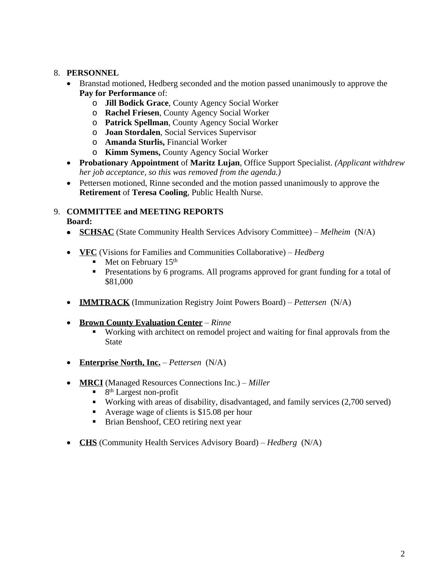### 8. **PERSONNEL**

- Branstad motioned, Hedberg seconded and the motion passed unanimously to approve the **Pay for Performance** of:
	- o **Jill Bodick Grace**, County Agency Social Worker
	- o **Rachel Friesen**, County Agency Social Worker
	- o **Patrick Spellman**, County Agency Social Worker
	- o **Joan Stordalen**, Social Services Supervisor
	- o **Amanda Sturlis,** Financial Worker
	- o **Kimm Symens,** County Agency Social Worker
- **Probationary Appointment** of **Maritz Lujan**, Office Support Specialist. *(Applicant withdrew her job acceptance, so this was removed from the agenda.)*
- Pettersen motioned, Rinne seconded and the motion passed unanimously to approve the **Retirement** of **Teresa Cooling**, Public Health Nurse.

# 9. **COMMITTEE and MEETING REPORTS**

**Board:**

- **SCHSAC** (State Community Health Services Advisory Committee) *Melheim* (N/A)
- **VFC** (Visions for Families and Communities Collaborative) *Hedberg*
	- Met on February 15<sup>th</sup>
	- Presentations by 6 programs. All programs approved for grant funding for a total of \$81,000
- **IMMTRACK** (Immunization Registry Joint Powers Board) *Pettersen* (N/A)
- **Brown County Evaluation Center** *Rinne*
	- Working with architect on remodel project and waiting for final approvals from the State
- **Enterprise North, Inc.** *Pettersen* (N/A)
- **MRCI** (Managed Resources Connections Inc.) *Miller*
	- 8<sup>th</sup> Largest non-profit
	- Working with areas of disability, disadvantaged, and family services (2,700 served)
	- Average wage of clients is \$15.08 per hour
	- **Brian Benshoof, CEO retiring next year**
- **CHS** (Community Health Services Advisory Board) *Hedberg* (N/A)